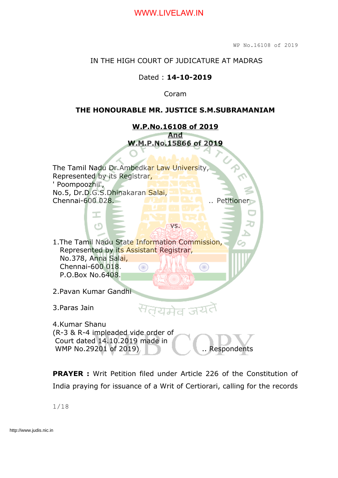#### IN THE HIGH COURT OF JUDICATURE AT MADRAS

#### Dated : **14-10-2019**

Coram

#### **THE HONOURABLE MR. JUSTICE S.M.SUBRAMANIAM**



**PRAYER :** Writ Petition filed under Article 226 of the Constitution of India praying for issuance of a Writ of Certiorari, calling for the records

1/18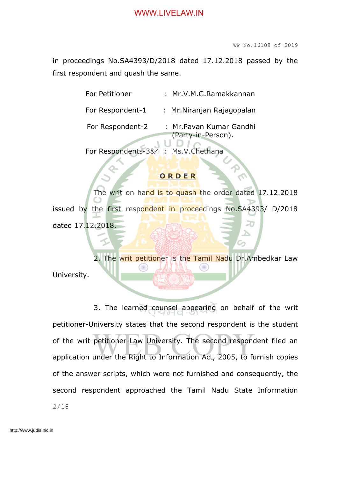in proceedings No.SA4393/D/2018 dated 17.12.2018 passed by the first respondent and quash the same.

| For Petitioner   | : Mr.V.M.G.Ramakkannan     |
|------------------|----------------------------|
| For Respondent-1 | : Mr. Niranjan Rajagopalan |

For Respondent-2 : Mr. Pavan Kumar Gandhi (Party-in-Person).

For Respondents-3&4 : Ms.V.Chethana

#### **O R D E R**

The writ on hand is to quash the order dated 17.12.2018 issued by the first respondent in proceedings No.SA4393/ D/2018 dated 17.12.2018.

2. The writ petitioner is the Tamil Nadu Dr.Ambedkar Law University.

3. The learned counsel appearing on behalf of the writ petitioner-University states that the second respondent is the student of the writ petitioner-Law University. The second respondent filed an application under the Right to Information Act, 2005, to furnish copies of the answer scripts, which were not furnished and consequently, the second respondent approached the Tamil Nadu State Information 2/18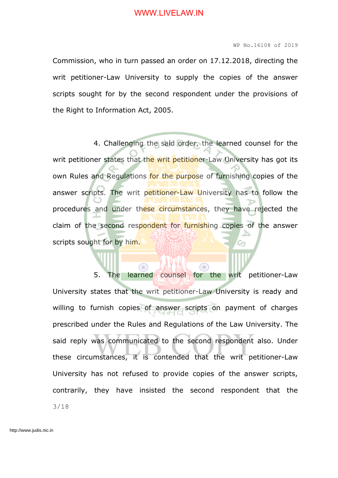Commission, who in turn passed an order on 17.12.2018, directing the writ petitioner-Law University to supply the copies of the answer scripts sought for by the second respondent under the provisions of the Right to Information Act, 2005.

4. Challenging the said order, the learned counsel for the writ petitioner states that the writ petitioner-Law University has got its own Rules and Regulations for the purpose of furnishing copies of the answer scripts. The writ petitioner-Law University has to follow the procedures and under these circumstances, they have rejected the claim of the second respondent for furnishing copies of the answer scripts sought for by him.

5. The learned counsel for the writ petitioner-Law University states that the writ petitioner-Law University is ready and willing to furnish copies of answer scripts on payment of charges prescribed under the Rules and Regulations of the Law University. The said reply was communicated to the second respondent also. Under these circumstances, it is contended that the writ petitioner-Law University has not refused to provide copies of the answer scripts, contrarily, they have insisted the second respondent that the 3/18

Œ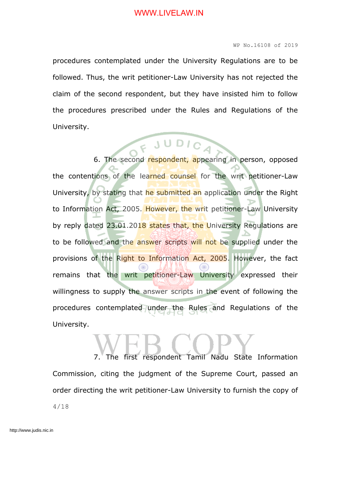#### WP No.16108 of 2019

procedures contemplated under the University Regulations are to be followed. Thus, the writ petitioner-Law University has not rejected the claim of the second respondent, but they have insisted him to follow the procedures prescribed under the Rules and Regulations of the University.

# 6. The second respondent, appearing in person, opposed

the contentions of the learned counsel for the writ petitioner-Law University, by stating that he submitted an application under the Right to Information Act, 2005. However, the writ petitioner-Law University by reply dated 23.01.2018 states that, the University Regulations are to be followed and the answer scripts will not be supplied under the provisions of the Right to Information Act, 2005. However, the fact remains that the writ petitioner-Law University expressed their willingness to supply the answer scripts in the event of following the procedures contemplated under the Rules and Regulations of the University.

7. The first respondent Tamil Nadu State Information Commission, citing the judgment of the Supreme Court, passed an order directing the writ petitioner-Law University to furnish the copy of 4/18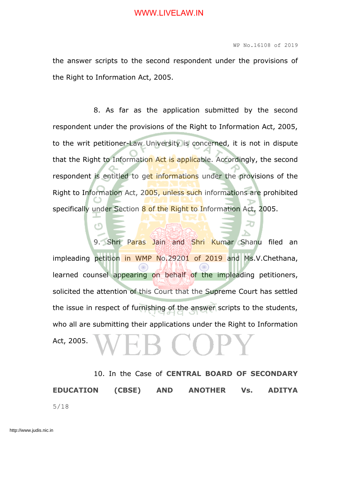the answer scripts to the second respondent under the provisions of the Right to Information Act, 2005.

8. As far as the application submitted by the second respondent under the provisions of the Right to Information Act, 2005, to the writ petitioner-Law University is concerned, it is not in dispute that the Right to Information Act is applicable. Accordingly, the second respondent is entitled to get informations under the provisions of the Right to Information Act, 2005, unless such informations are prohibited specifically under Section 8 of the Right to Information Act, 2005.

9. Shri Paras Jain and Shri Kumar Shanu filed an impleading petition in WMP No.29201 of 2019 and Ms.V.Chethana, learned counsel appearing on behalf of the impleading petitioners, solicited the attention of this Court that the Supreme Court has settled the issue in respect of furnishing of the answer scripts to the students, who all are submitting their applications under the Right to Information Act, 2005.

10. In the Case of **CENTRAL BOARD OF SECONDARY EDUCATION (CBSE) AND ANOTHER Vs. ADITYA** 5/18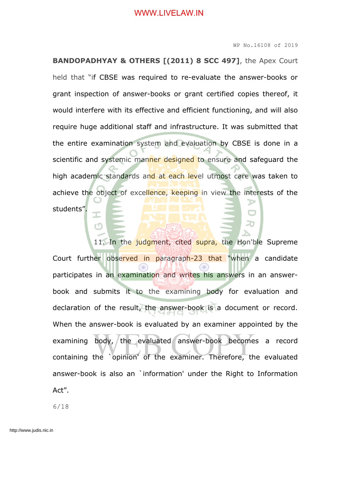#### WP No.16108 of 2019

**BANDOPADHYAY & OTHERS [(2011) 8 SCC 497]**, the Apex Court held that "if CBSE was required to re-evaluate the answer-books or grant inspection of answer-books or grant certified copies thereof, it would interfere with its effective and efficient functioning, and will also require huge additional staff and infrastructure. It was submitted that the entire examination system and evaluation by CBSE is done in a scientific and systemic manner designed to ensure and safeguard the high academic standards and at each level utmost care was taken to achieve the object of excellence, keeping in view the interests of the students".

11. In the judgment, cited supra, the Hon'ble Supreme Court further observed in paragraph-23 that "when a candidate participates in an examination and writes his answers in an answerbook and submits it to the examining body for evaluation and declaration of the result, the answer-book is a document or record. When the answer-book is evaluated by an examiner appointed by the examining body, the evaluated answer-book becomes a record containing the `opinion' of the examiner. Therefore, the evaluated answer-book is also an `information' under the Right to Information Act".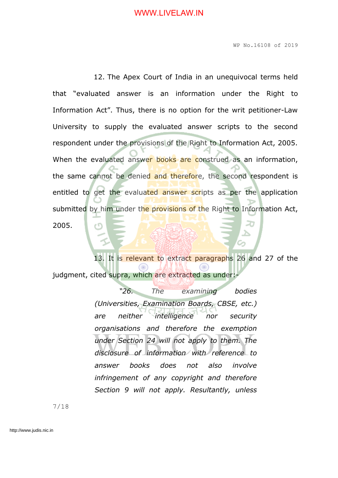WP No.16108 of 2019

12. The Apex Court of India in an unequivocal terms held that "evaluated answer is an information under the Right to Information Act". Thus, there is no option for the writ petitioner-Law University to supply the evaluated answer scripts to the second respondent under the provisions of the Right to Information Act, 2005. When the evaluated answer books are construed as an information, the same cannot be denied and therefore, the second respondent is entitled to get the evaluated answer scripts as per the application submitted by him under the provisions of the Right to Information Act, 2005.

13. It is relevant to extract paragraphs 26 and 27 of the judgment, cited supra, which are extracted as under:-

> *"26. The examining bodies (Universities, Examination Boards, CBSE, etc.) are neither intelligence nor security organisations and therefore the exemption under Section 24 will not apply to them. The disclosure of information with reference to answer books does not also involve infringement of any copyright and therefore Section 9 will not apply. Resultantly, unless*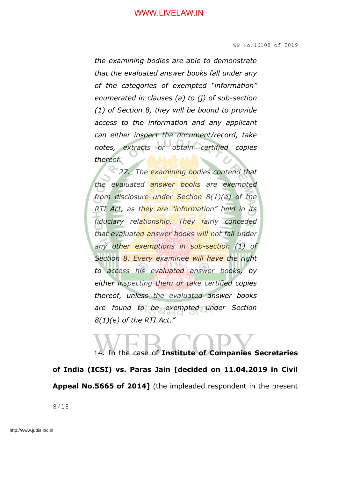*the examining bodies are able to demonstrate that the evaluated answer books fall under any of the categories of exempted "information" enumerated in clauses (a) to (j) of sub-section (1) of Section 8, they will be bound to provide access to the information and any applicant can either inspect the document/record, take notes, extracts or obtain certified copies thereof.*

*27. The examining bodies contend that the evaluated answer books are exempted from disclosure under Section 8(1)(e) of the RTI Act, as they are "information" held in its fiduciary relationship. They fairly conceded that evaluated answer books will not fall under any other exemptions in sub-section (1) of Section 8. Every examinee will have the right to access his evaluated answer books, by either inspecting them or take certified copies thereof, unless the evaluated answer books are found to be exempted under Section 8(1)(e) of the RTI Act."*

14. In the case of **Institute of Companies Secretaries of India (ICSI) vs. Paras Jain [decided on 11.04.2019 in Civil Appeal No.5665 of 2014]** (the impleaded respondent in the present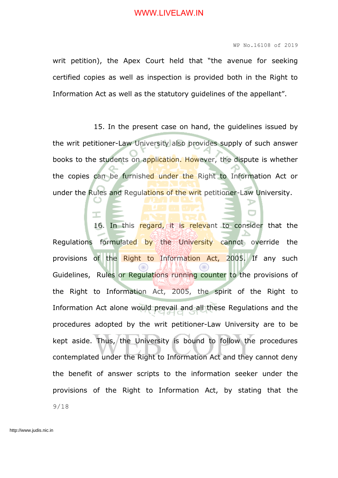writ petition), the Apex Court held that "the avenue for seeking certified copies as well as inspection is provided both in the Right to Information Act as well as the statutory guidelines of the appellant".

15. In the present case on hand, the guidelines issued by the writ petitioner-Law University also provides supply of such answer books to the students on application. However, the dispute is whether the copies can be furnished under the Right to Information Act or under the Rules and Regulations of the writ petitioner-Law University.

16. In this regard, it is relevant to consider that the Regulations formulated by the University cannot override the provisions of the Right to Information Act, 2005. If any such Guidelines, Rules or Regulations running counter to the provisions of the Right to Information Act, 2005, the spirit of the Right to Information Act alone would prevail and all these Regulations and the procedures adopted by the writ petitioner-Law University are to be kept aside. Thus, the University is bound to follow the procedures contemplated under the Right to Information Act and they cannot deny the benefit of answer scripts to the information seeker under the provisions of the Right to Information Act, by stating that the 9/18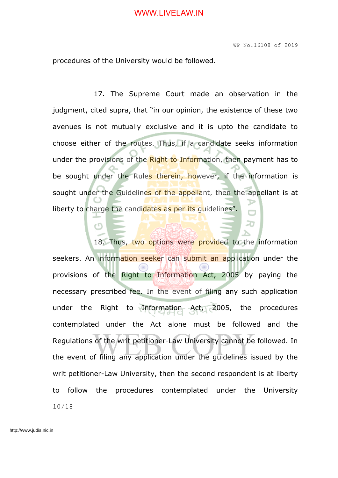20

procedures of the University would be followed.

c٦

17. The Supreme Court made an observation in the judgment, cited supra, that "in our opinion, the existence of these two avenues is not mutually exclusive and it is upto the candidate to choose either of the routes. Thus, if a candidate seeks information under the provisions of the Right to Information, then payment has to be sought under the Rules therein, however, if the information is sought under the Guidelines of the appellant, then the appellant is at liberty to charge the candidates as per its quidelines".

18. Thus, two options were provided to the information seekers. An information seeker can submit an application under the provisions of the Right to Information Act, 2005 by paying the necessary prescribed fee. In the event of filing any such application under the Right to Information Act, 2005, the procedures contemplated under the Act alone must be followed and the Regulations of the writ petitioner-Law University cannot be followed. In the event of filing any application under the guidelines issued by the writ petitioner-Law University, then the second respondent is at liberty to follow the procedures contemplated under the University 10/18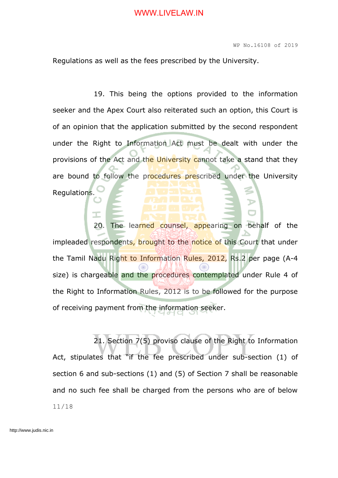Regulations as well as the fees prescribed by the University.

19. This being the options provided to the information seeker and the Apex Court also reiterated such an option, this Court is of an opinion that the application submitted by the second respondent under the Right to Information Act must be dealt with under the provisions of the Act and the University cannot take a stand that they are bound to follow the procedures prescribed under the University Regulations.

20. The learned counsel, appearing on behalf of the impleaded respondents, brought to the notice of this Court that under the Tamil Nadu Right to Information Rules, 2012, Rs.2 per page (A-4 size) is chargeable and the procedures contemplated under Rule 4 of the Right to Information Rules, 2012 is to be followed for the purpose of receiving payment from the information seeker.

21. Section 7(5) proviso clause of the Right to Information Act, stipulates that "if the fee prescribed under sub-section (1) of section 6 and sub-sections (1) and (5) of Section 7 shall be reasonable and no such fee shall be charged from the persons who are of below 11/18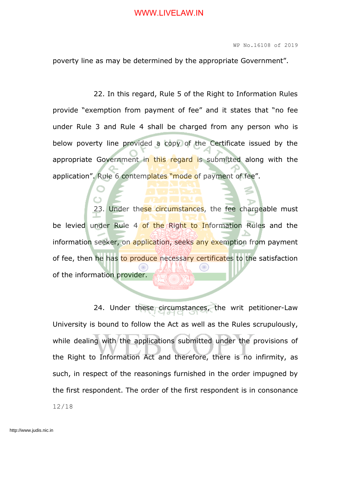WP No.16108 of 2019

poverty line as may be determined by the appropriate Government".

22. In this regard, Rule 5 of the Right to Information Rules provide "exemption from payment of fee" and it states that "no fee under Rule 3 and Rule 4 shall be charged from any person who is below poverty line provided a copy of the Certificate issued by the appropriate Government in this regard is submitted along with the application". Rule 6 contemplates "mode of payment of fee".

23. Under these circumstances, the fee chargeable must be levied under Rule 4 of the Right to Information Rules and the information seeker, on application, seeks any exemption from payment of fee, then he has to produce necessary certificates to the satisfaction of the information provider.

24. Under these circumstances, the writ petitioner-Law University is bound to follow the Act as well as the Rules scrupulously, while dealing with the applications submitted under the provisions of the Right to Information Act and therefore, there is no infirmity, as such, in respect of the reasonings furnished in the order impugned by the first respondent. The order of the first respondent is in consonance 12/18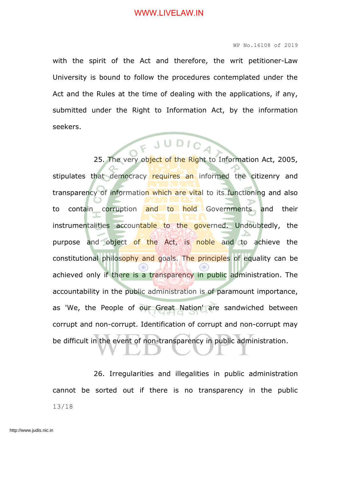#### WP No.16108 of 2019

with the spirit of the Act and therefore, the writ petitioner-Law University is bound to follow the procedures contemplated under the Act and the Rules at the time of dealing with the applications, if any, submitted under the Right to Information Act, by the information seekers.

## 25. The very object of the Right to Information Act, 2005,

stipulates that democracy requires an informed the citizenry and transparency of information which are vital to its functioning and also to contain corruption and to hold Governments and their instrumentalities accountable to the governed. Undoubtedly, the purpose and object of the Act, is noble and to achieve the constitutional philosophy and goals. The principles of equality can be achieved only if there is a transparency in public administration. The accountability in the public administration is of paramount importance, as 'We, the People of our Great Nation' are sandwiched between corrupt and non-corrupt. Identification of corrupt and non-corrupt may be difficult in the event of non-transparency in public administration.

26. Irregularities and illegalities in public administration cannot be sorted out if there is no transparency in the public 13/18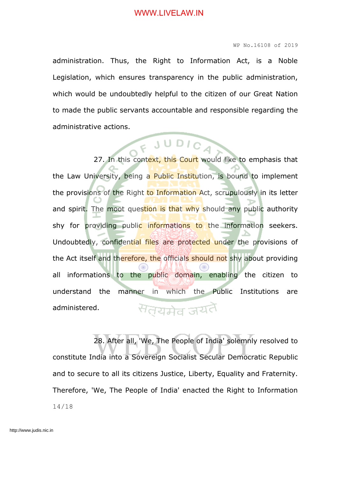#### WP No.16108 of 2019

administration. Thus, the Right to Information Act, is a Noble Legislation, which ensures transparency in the public administration, which would be undoubtedly helpful to the citizen of our Great Nation to made the public servants accountable and responsible regarding the administrative actions.

27. In this context, this Court would like to emphasis that the Law University, being a Public Institution, is bound to implement the provisions of the Right to Information Act, scrupulously in its letter and spirit. The moot question is that why should any public authority shy for providing public informations to the information seekers. Undoubtedly, confidential files are protected under the provisions of the Act itself and therefore, the officials should not shy about providing all informations to the public domain, enabling the citizen to understand the manner in which the Public Institutions are सत्यमेव जयते administered.

28. After all, 'We, The People of India' solemnly resolved to constitute India into a Sovereign Socialist Secular Democratic Republic and to secure to all its citizens Justice, Liberty, Equality and Fraternity. Therefore, 'We, The People of India' enacted the Right to Information 14/18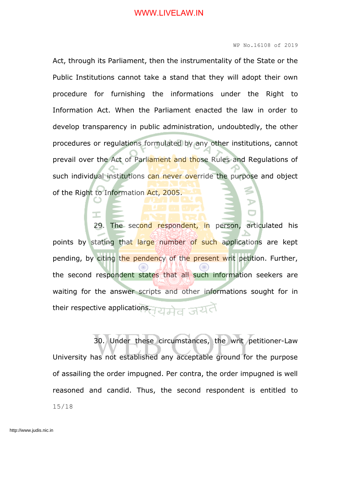#### WP No.16108 of 2019

Act, through its Parliament, then the instrumentality of the State or the Public Institutions cannot take a stand that they will adopt their own procedure for furnishing the informations under the Right to Information Act. When the Parliament enacted the law in order to develop transparency in public administration, undoubtedly, the other procedures or regulations formulated by any other institutions, cannot prevail over the Act of Parliament and those Rules and Regulations of such individual institutions can never override the purpose and object of the Right to Information Act, 2005.

The second respondent, in person, articulated his points by stating that large number of such applications are kept pending, by citing the pendency of the present writ petition. Further, the second respondent states that all such information seekers are waiting for the answer scripts and other informations sought for in their respective applications. 2 2 3 3 3 4

30. Under these circumstances, the writ petitioner-Law University has not established any acceptable ground for the purpose of assailing the order impugned. Per contra, the order impugned is well reasoned and candid. Thus, the second respondent is entitled to 15/18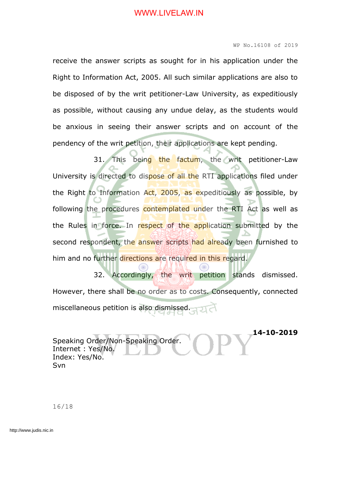#### WP No.16108 of 2019

receive the answer scripts as sought for in his application under the Right to Information Act, 2005. All such similar applications are also to be disposed of by the writ petitioner-Law University, as expeditiously as possible, without causing any undue delay, as the students would be anxious in seeing their answer scripts and on account of the pendency of the writ petition, their applications are kept pending.

31. This being the factum, the writ petitioner-Law University is directed to dispose of all the RTI applications filed under the Right to Information Act, 2005, as expeditiously as possible, by following the procedures contemplated under the RTI Act as well as the Rules in force. In respect of the application submitted by the second respondent, the answer scripts had already been furnished to him and no further directions are required in this regard.

32. Accordingly, the writ petition stands dismissed. However, there shall be no order as to costs. Consequently, connected miscellaneous petition is also dismissed.

**14-10-2019** Speaking Order/Non-Speaking Order. Internet : Yes/No. Index: Yes/No. Svn

16/18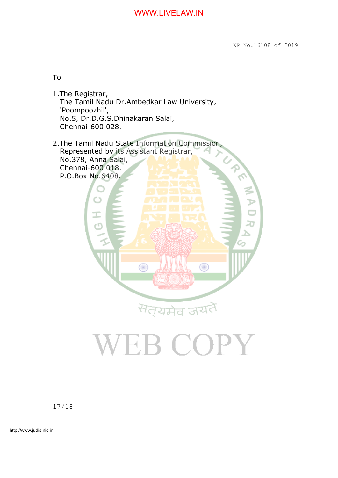To

- 1.The Registrar, The Tamil Nadu Dr.Ambedkar Law University, 'Poompoozhil', No.5, Dr.D.G.S.Dhinakaran Salai, Chennai-600 028.
- 2.The Tamil Nadu State Information Commission, Represented by its Assistant Registrar, No.378, Anna Salai, Chennai-600 018. P.O.Box No.6408.

⋒

सत्यमेव जय

**EB COPY** 

Œ